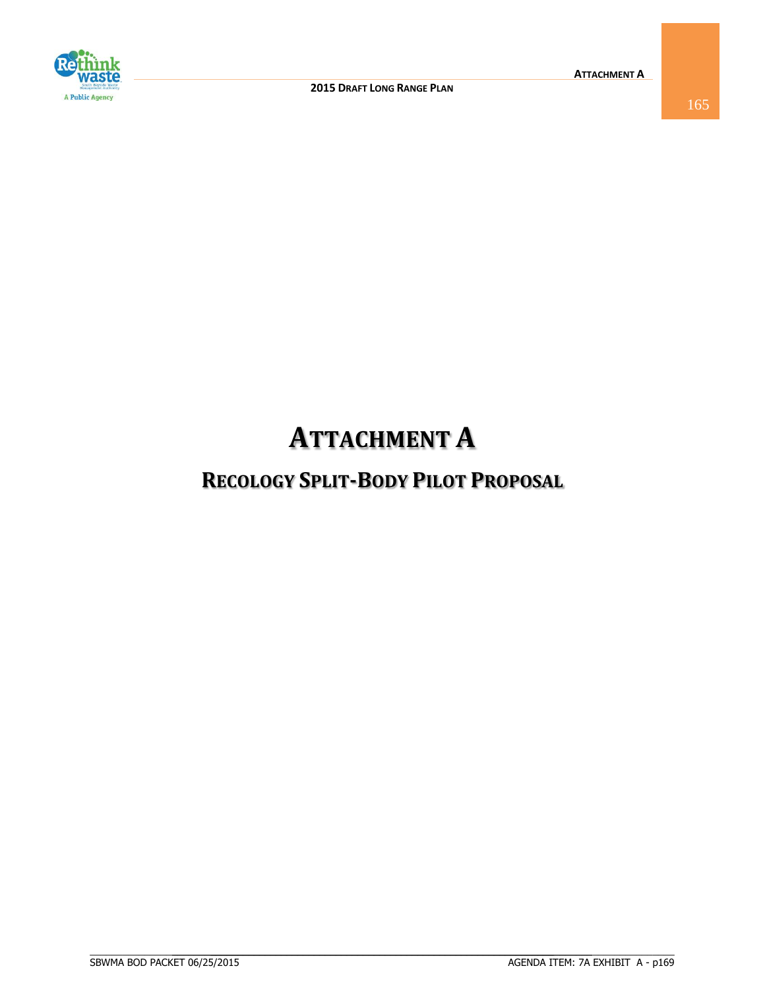

# **ATTACHMENT A**

# **RECOLOGY SPLIT-BODY PILOT PROPOSAL**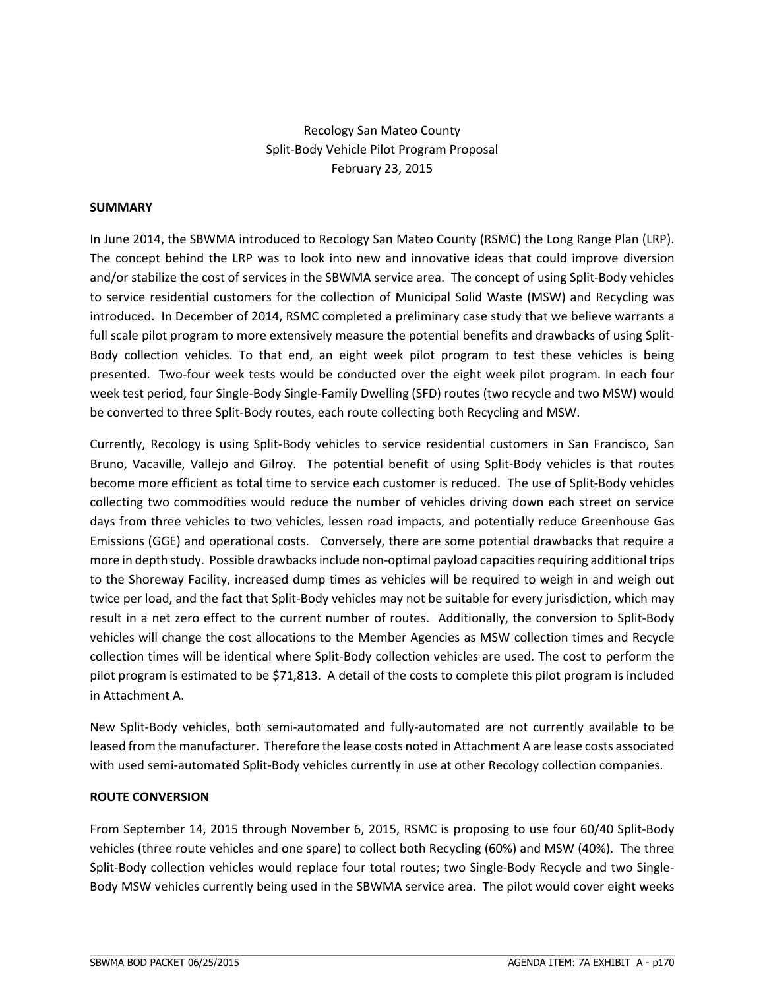Recology San Mateo County Split‐Body Vehicle Pilot Program Proposal February 23, 2015

### **SUMMARY**

In June 2014, the SBWMA introduced to Recology San Mateo County (RSMC) the Long Range Plan (LRP). The concept behind the LRP was to look into new and innovative ideas that could improve diversion and/or stabilize the cost of services in the SBWMA service area. The concept of using Split-Body vehicles to service residential customers for the collection of Municipal Solid Waste (MSW) and Recycling was introduced. In December of 2014, RSMC completed a preliminary case study that we believe warrants a full scale pilot program to more extensively measure the potential benefits and drawbacks of using Split-Body collection vehicles. To that end, an eight week pilot program to test these vehicles is being presented. Two-four week tests would be conducted over the eight week pilot program. In each four week test period, four Single‐Body Single‐Family Dwelling (SFD) routes (two recycle and two MSW) would be converted to three Split‐Body routes, each route collecting both Recycling and MSW.

Currently, Recology is using Split‐Body vehicles to service residential customers in San Francisco, San Bruno, Vacaville, Vallejo and Gilroy. The potential benefit of using Split‐Body vehicles is that routes become more efficient as total time to service each customer is reduced. The use of Split‐Body vehicles collecting two commodities would reduce the number of vehicles driving down each street on service days from three vehicles to two vehicles, lessen road impacts, and potentially reduce Greenhouse Gas Emissions (GGE) and operational costs. Conversely, there are some potential drawbacks that require a more in depth study. Possible drawbacks include non-optimal payload capacities requiring additional trips to the Shoreway Facility, increased dump times as vehicles will be required to weigh in and weigh out twice per load, and the fact that Split‐Body vehicles may not be suitable for every jurisdiction, which may result in a net zero effect to the current number of routes. Additionally, the conversion to Split‐Body vehicles will change the cost allocations to the Member Agencies as MSW collection times and Recycle collection times will be identical where Split‐Body collection vehicles are used. The cost to perform the pilot program is estimated to be \$71,813. A detail of the costs to complete this pilot program is included in Attachment A.

New Split‐Body vehicles, both semi‐automated and fully‐automated are not currently available to be leased from the manufacturer. Therefore the lease costs noted in Attachment A are lease costs associated with used semi-automated Split-Body vehicles currently in use at other Recology collection companies.

#### **ROUTE CONVERSION**

From September 14, 2015 through November 6, 2015, RSMC is proposing to use four 60/40 Split-Body vehicles (three route vehicles and one spare) to collect both Recycling (60%) and MSW (40%). The three Split-Body collection vehicles would replace four total routes; two Single-Body Recycle and two Single-Body MSW vehicles currently being used in the SBWMA service area. The pilot would cover eight weeks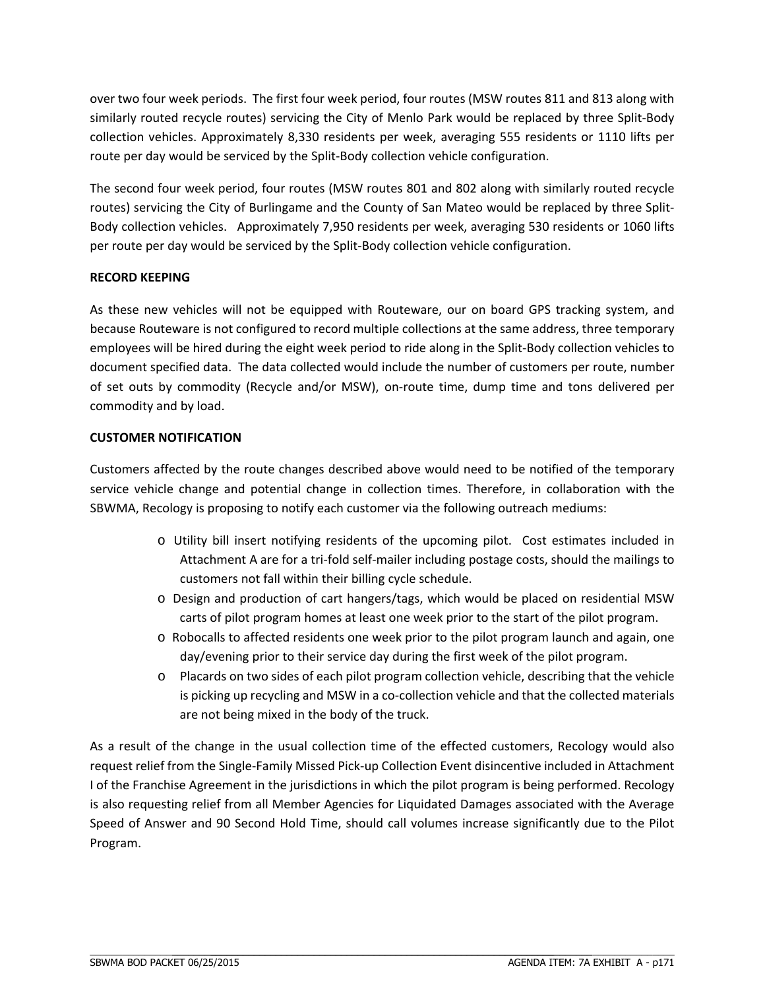over two four week periods. The first four week period, four routes (MSW routes 811 and 813 along with similarly routed recycle routes) servicing the City of Menlo Park would be replaced by three Split‐Body collection vehicles. Approximately 8,330 residents per week, averaging 555 residents or 1110 lifts per route per day would be serviced by the Split‐Body collection vehicle configuration.

The second four week period, four routes (MSW routes 801 and 802 along with similarly routed recycle routes) servicing the City of Burlingame and the County of San Mateo would be replaced by three Split‐ Body collection vehicles. Approximately 7,950 residents per week, averaging 530 residents or 1060 lifts per route per day would be serviced by the Split‐Body collection vehicle configuration.

# **RECORD KEEPING**

As these new vehicles will not be equipped with Routeware, our on board GPS tracking system, and because Routeware is not configured to record multiple collections at the same address, three temporary employees will be hired during the eight week period to ride along in the Split‐Body collection vehicles to document specified data. The data collected would include the number of customers per route, number of set outs by commodity (Recycle and/or MSW), on‐route time, dump time and tons delivered per commodity and by load.

# **CUSTOMER NOTIFICATION**

Customers affected by the route changes described above would need to be notified of the temporary service vehicle change and potential change in collection times. Therefore, in collaboration with the SBWMA, Recology is proposing to notify each customer via the following outreach mediums:

- o Utility bill insert notifying residents of the upcoming pilot. Cost estimates included in Attachment A are for a tri‐fold self‐mailer including postage costs, should the mailings to customers not fall within their billing cycle schedule.
- o Design and production of cart hangers/tags, which would be placed on residential MSW carts of pilot program homes at least one week prior to the start of the pilot program.
- o Robocalls to affected residents one week prior to the pilot program launch and again, one day/evening prior to their service day during the first week of the pilot program.
- o Placards on two sides of each pilot program collection vehicle, describing that the vehicle is picking up recycling and MSW in a co-collection vehicle and that the collected materials are not being mixed in the body of the truck.

As a result of the change in the usual collection time of the effected customers, Recology would also request relief from the Single‐Family Missed Pick‐up Collection Event disincentive included in Attachment I of the Franchise Agreement in the jurisdictions in which the pilot program is being performed. Recology is also requesting relief from all Member Agencies for Liquidated Damages associated with the Average Speed of Answer and 90 Second Hold Time, should call volumes increase significantly due to the Pilot Program.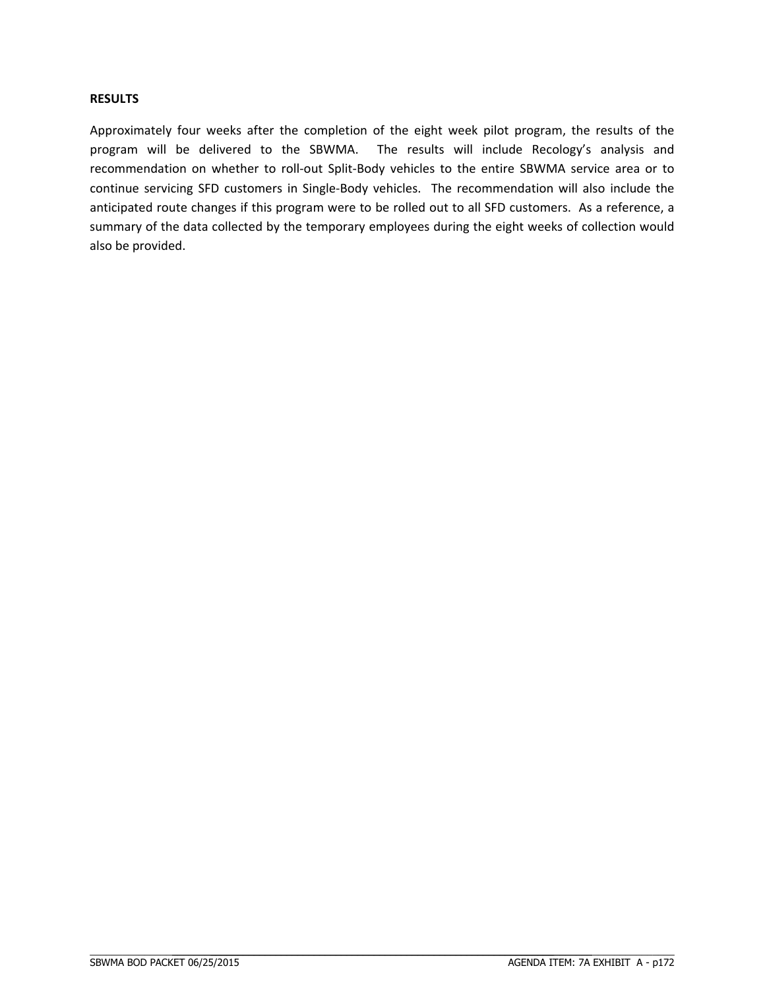#### **RESULTS**

Approximately four weeks after the completion of the eight week pilot program, the results of the program will be delivered to the SBWMA. The results will include Recology's analysis and recommendation on whether to roll‐out Split‐Body vehicles to the entire SBWMA service area or to continue servicing SFD customers in Single‐Body vehicles. The recommendation will also include the anticipated route changes if this program were to be rolled out to all SFD customers. As a reference, a summary of the data collected by the temporary employees during the eight weeks of collection would also be provided.